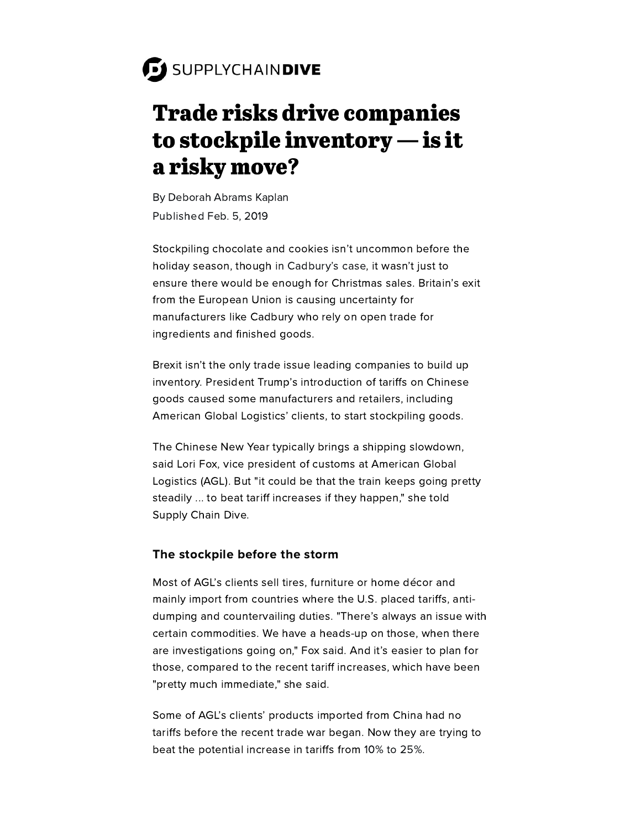# Trade risks drive companies to stockpile inventory — is it a risky move?

By [Deborah](https://www.supplychaindive.com/editors/dkaplan/) Abrams Kaplan Published Feb. 5, 2019

Stockpiling chocolate and cookies isn't uncommon before the holiday season, though in [Cadbury's](https://www.reuters.com/article/us-britain-eu-mondelez-intl/cadbury-owner-mondelez-builds-brexit-chocolate-stash-idUSKCN1LR0CU) case, it wasn't just to ensure there would be enough for Christmas sales. Britain's exit from the European Union is causing uncertainty for manufacturers like Cadbury who rely on open trade for ingredients and finished goods.

Brexit isn't the only trade issue leading companies to build up inventory. President Trump's introduction of tariffs on Chinese goods caused some manufacturers and retailers, including American Global Logistics' clients, to start stockpiling goods.

The Chinese New Year typically brings a shipping slowdown, said Lori Fox, vice president of customs at American Global Logistics (AGL). But "it could be that the train keeps going pretty steadily ... to beat tariff increases if they happen," she told Supply Chain Dive.

### The stockpile before the storm

Most of AGL's clients sell tires, furniture or home décor and mainly import from countries where the U.S. placed tariffs, antidumping and countervailing duties. "There's always an issue with certain commodities. We have a heads-up on those, when there are investigations going on," Fox said. And it's easier to plan for those, compared to the recent tariff increases, which have been "pretty much immediate," she said.

Some of AGL's clients' products imported from China had no tariffs before the recent trade war began. Now they are trying to beat the potential increase in tariffs from 10% to [25%.](https://www.supplychaindive.com/news/us-china-tariffs-delay-increase-trump-xi/543449/)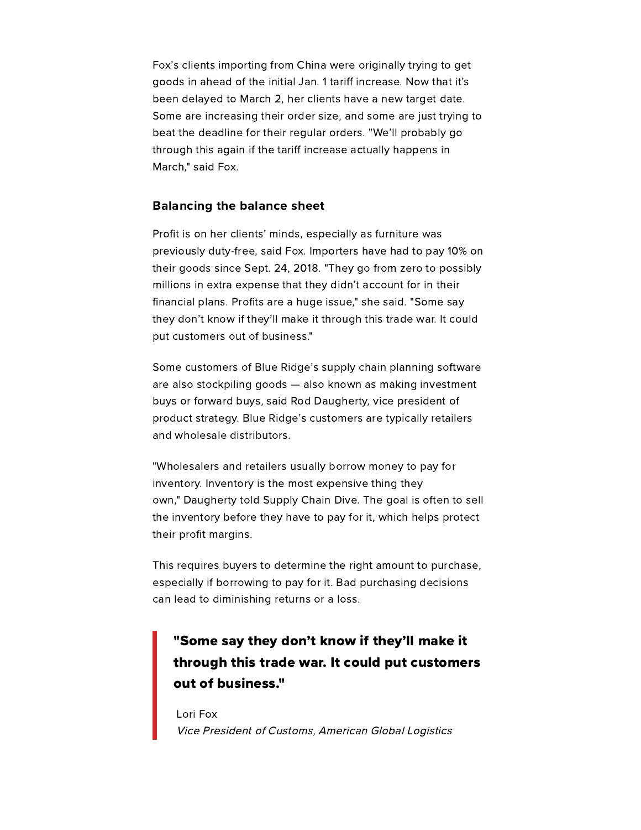Fox's clients importing from China were originally trying to get goods in ahead of the initial Jan. 1 tariff increase. Now that it's been delayed to March 2, her clients have a new target date. Some are increasing their order size, and some are just trying to beat the deadline for their regular orders. "We'll probably go through this again if the tariff increase actually happens in March," said Fox.

#### Balancing the balance sheet

Profit is on her clients' minds, especially as furniture was previously duty-free, said Fox. Importers have had to pay 10% on their goods since Sept. 24, 2018. "They go from zero to possibly millions in extra expense that they didn't account for in their financial plans. Profits are a huge issue," she said. "Some say they don't know if they'll make it through this trade war. It could put customers out of business."

Some customers of Blue Ridge's supply chain planning software are also stockpiling goods — also known as making investment buys or forward buys, said Rod Daugherty, vice president of product strategy. Blue Ridge's customers are typically retailers and wholesale distributors.

"Wholesalers and retailers usually borrow money to pay for inventory. Inventory is the most expensive thing they own," Daugherty told Supply Chain Dive. The goal is often to sell the inventory before they have to pay for it, which helps protect their profit margins.

This requires buyers to determine the right amount to purchase, especially if borrowing to pay for it. Bad purchasing decisions can lead to diminishing returns or a loss.

## "Some say they don't know if they'll make it through this trade war. It could put customers out of business."

Lori Fox Vice President of Customs, American Global Logistics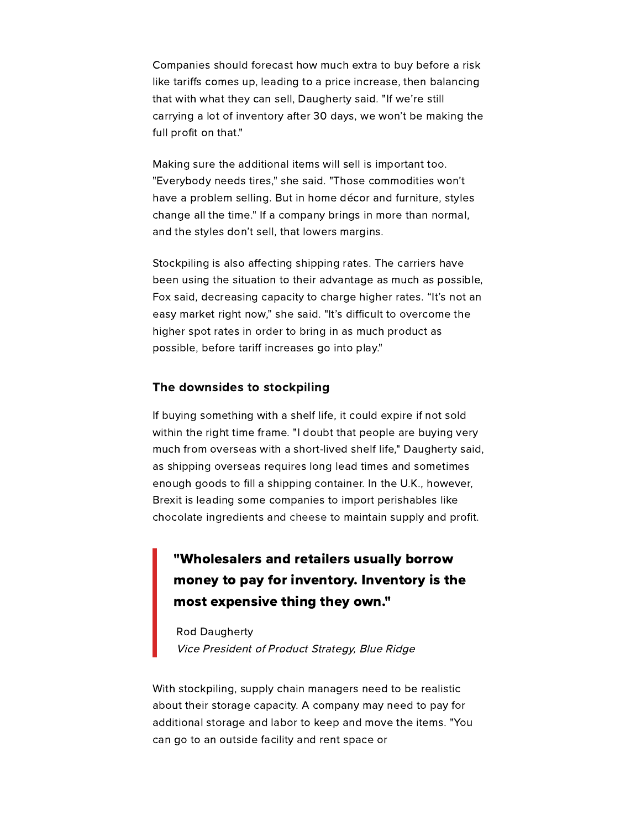Companies should forecast how much extra to buy before a risk like tariffs comes up, leading to a price increase, then balancing that with what they can sell, Daugherty said. "If we're still carrying a lot of inventory after 30 days, we won't be making the full profit on that."

Making sure the additional items will sell is important too. "Everybody needs tires," she said. "Those commodities won't have a problem selling. But in home décor and furniture, styles change all the time." If a company brings in more than normal, and the styles don't sell, that lowers margins.

Stockpiling is also affecting shipping rates. The carriers have been using the situation to their advantage as much as possible, Fox said, decreasing capacity to charge higher rates. "It's not an easy market right now," she said. "It's difficult to overcome the higher spot rates in order to bring in as much product as possible, before tariff increases go into play."

#### The downsides to stockpiling

If buying something with a shelf life, it could expire if not sold within the right time frame. "I doubt that people are buying very much from overseas with a short-lived shelf life," Daugherty said, as shipping overseas requires long lead times and sometimes enough goods to fill a shipping container. In the U.K., however, Brexit is leading some companies to import perishables like chocolate ingredients and [cheese](https://www.theguardian.com/politics/2018/oct/11/irish-cheese-maker-kerrygold-stockpiling-cheddar-no-deal-brexit) to maintain supply and profit.

## "Wholesalers and retailers usually borrow money to pay for inventory. Inventory is the most expensive thing they own."

Rod Daugherty Vice President of Product Strategy, Blue Ridge

With stockpiling, supply chain managers need to be realistic about their storage capacity. A company may need to pay for additional storage and labor to keep and move the items. "You can go to an outside facility and rent space or